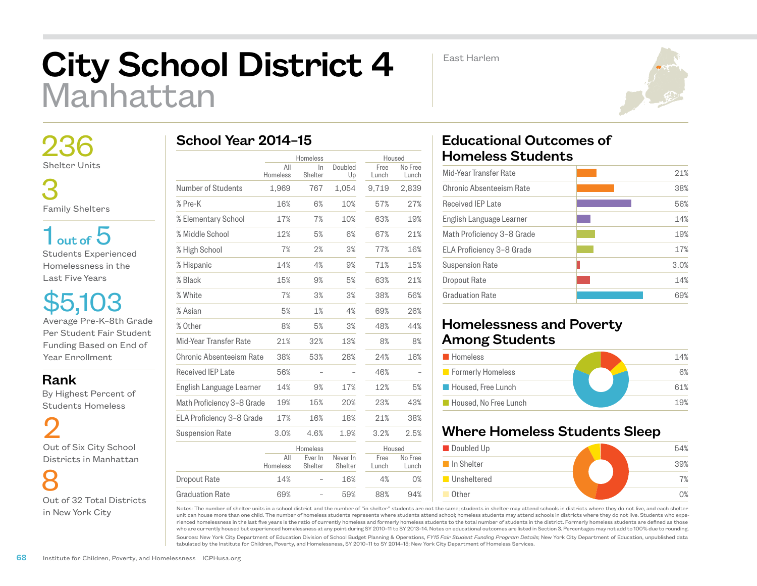# City School District 4 Manhattan

East Harlem



 236 Shelter Units

 3 Family Shelters

 $1<sub>out of</sub> 5$ Students Experienced Homelessness in the Last Five Years

\$5,103 Average Pre-K–8th Grade Per Student Fair Student Funding Based on End of Year Enrollment

Rank

 By Highest Percent of Students Homeless

2 Out of Six City School Districts in Manhattan

 8 Out of 32 Total Districts in New York City

| School Year 2014-15 |  |
|---------------------|--|
|---------------------|--|

|                            |                 | Homeless           |                     |               | Housed           |  |
|----------------------------|-----------------|--------------------|---------------------|---------------|------------------|--|
|                            | All<br>Homeless | ln.<br>Shelter     | Doubled<br>Up       | Free<br>Lunch | No Free<br>Lunch |  |
| Number of Students         | 1,969           | 767                | 1,054               | 9,719         | 2,839            |  |
| % Pre-K                    | 16%             | 6%                 | 10%                 | 57%           | 27%              |  |
| % Elementary School        | 17%             | 7%                 | 10%                 | 63%           | 19%              |  |
| % Middle School            | 12%             | 5%                 | 6%                  | 67%           | 21%              |  |
| % High School              | 7%              | 2%                 | 3%                  | 77%           | 16%              |  |
| % Hispanic                 | 14%             | 4%                 | 9%                  | 71%           | 15%              |  |
| % Black                    | 15%             | 9%                 | 5%                  | 63%           | 21%              |  |
| % White                    | 7%              | 3%                 | 3%                  | 38%           | 56%              |  |
| % Asian                    | 5%              | 1%                 | 4%                  | 69%           | 26%              |  |
| % Other                    | 8%              | 5%                 | 3%                  | 48%           | 44%              |  |
| Mid-Year Transfer Rate     | 21%             | 32%                | 13%                 | 8%            | 8%               |  |
| Chronic Absenteeism Rate   | 38%             | 53%                | 28%                 | 24%           | 16%              |  |
| Received IEP Late          | 56%             |                    |                     | 46%           |                  |  |
| English Language Learner   | 14%             | 9%                 | 17%                 | 12%           | 5%               |  |
| Math Proficiency 3-8 Grade | 19%             | 15%                | 20%                 | 23%           | 43%              |  |
| ELA Proficiency 3-8 Grade  | 17%             | 16%                | 18%                 | 21%           | 38%              |  |
| <b>Suspension Rate</b>     | 3.0%            | 4.6%               | 1.9%                | 3.2%          | 2.5%             |  |
|                            |                 | Homeless           |                     |               | Housed           |  |
|                            | All<br>Homeless | Ever In<br>Shelter | Never In<br>Shelter | Free<br>Lunch | No Free<br>Lunch |  |
| <b>Dropout Rate</b>        | 14%             |                    | 16%                 | 4%            | 0%               |  |
| <b>Graduation Rate</b>     | 69%             |                    | 59%                 | 88%           | 94%              |  |

## Educational Outcomes of Homeless Students

| Mid-Year Transfer Rate     | 21%  |
|----------------------------|------|
| Chronic Absenteeism Rate   | 38%  |
| Received IFP Late          | 56%  |
| English Language Learner   | 14%  |
| Math Proficiency 3-8 Grade | 19%  |
| ELA Proficiency 3-8 Grade  | 17%  |
| <b>Suspension Rate</b>     | 3.0% |
| Dropout Rate               | 14%  |
| Graduation Rate            | 69%  |
|                            |      |

### Homelessness and Poverty Among Students

| <b>Homeless</b>       | 14% |
|-----------------------|-----|
| Formerly Homeless     | 6%  |
| Housed, Free Lunch    | 61% |
| Housed, No Free Lunch | 19% |

### Where Homeless Students Sleep



Notes: The number of shelter units in a school district and the number of "in shelter" students are not the same; students in shelter may attend schools in districts where they do not live, and each shelter unit can house more than one child. The number of homeless students represents where students attend school; homeless students may attend schools in districts where they do not live. Students who experienced homelessness in the last five years is the ratio of currently homeless and formerly homeless students to the total number of students in the district. Formerly homeless students are defined as those who are currently housed but experienced homelessness at any point during SY 2010–11 to SY 2013–14. Notes on educational outcomes are listed in Section 3. Percentages may not add to 100% due to rounding.

Sources: New York City Department of Education Division of School Budget Planning & Operations, *FY15 Fair Student Funding Program Details*; New York City Department of Education, unpublished data tabulated by the Institute for Children, Poverty, and Homelessness, SY 2010–11 to SY 2014–15; New York City Department of Homeless Services.